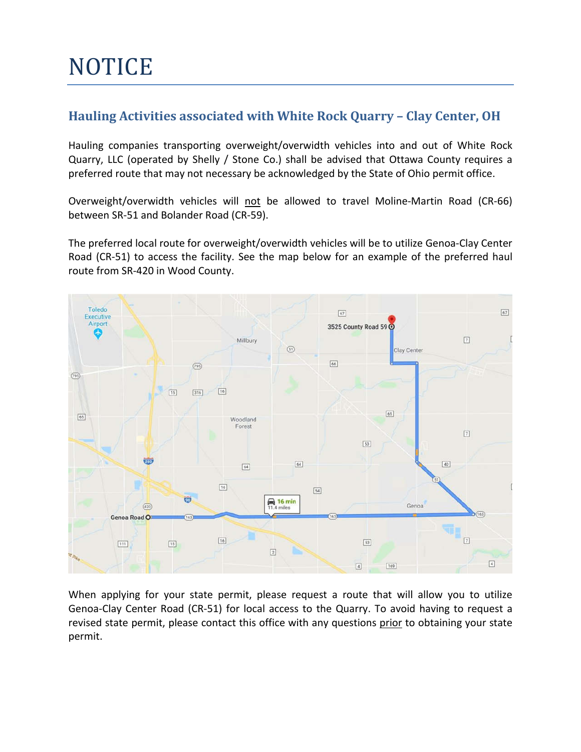## **NOTICE**

## **Hauling Activities associated with White Rock Quarry – Clay Center, OH**

Hauling companies transporting overweight/overwidth vehicles into and out of White Rock Quarry, LLC (operated by Shelly / Stone Co.) shall be advised that Ottawa County requires a preferred route that may not necessary be acknowledged by the State of Ohio permit office.

Overweight/overwidth vehicles will not be allowed to travel Moline-Martin Road (CR-66) between SR-51 and Bolander Road (CR-59).

The preferred local route for overweight/overwidth vehicles will be to utilize Genoa-Clay Center Road (CR-51) to access the facility. See the map below for an example of the preferred haul route from SR-420 in Wood County.



When applying for your state permit, please request a route that will allow you to utilize Genoa-Clay Center Road (CR-51) for local access to the Quarry. To avoid having to request a revised state permit, please contact this office with any questions prior to obtaining your state permit.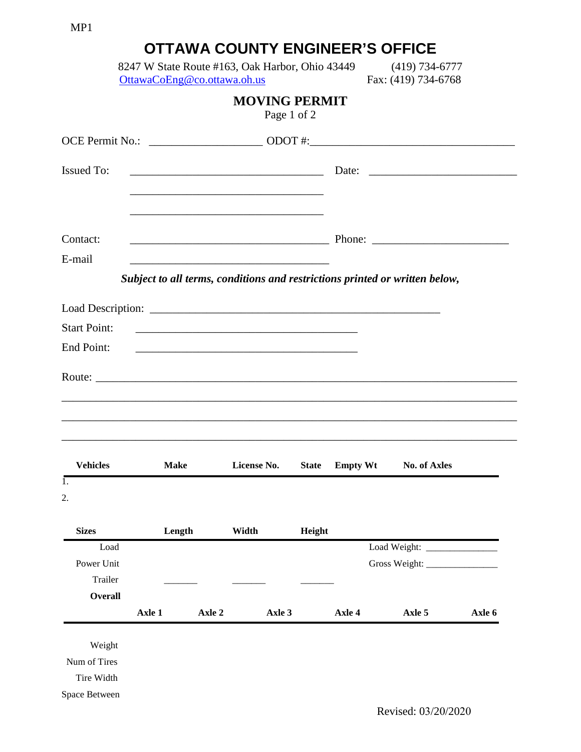| MP1                 |                                                                                |        |                                                          |              |                                        |                                                                                                                                                                                                                                      |        |
|---------------------|--------------------------------------------------------------------------------|--------|----------------------------------------------------------|--------------|----------------------------------------|--------------------------------------------------------------------------------------------------------------------------------------------------------------------------------------------------------------------------------------|--------|
|                     |                                                                                |        |                                                          |              | <b>OTTAWA COUNTY ENGINEER'S OFFICE</b> |                                                                                                                                                                                                                                      |        |
|                     | 8247 W State Route #163, Oak Harbor, Ohio 43449<br>OttawaCoEng@co.ottawa.oh.us |        |                                                          |              |                                        | $(419) 734 - 6777$<br>Fax: (419) 734-6768                                                                                                                                                                                            |        |
|                     |                                                                                |        | <b>MOVING PERMIT</b>                                     | Page 1 of 2  |                                        |                                                                                                                                                                                                                                      |        |
|                     |                                                                                |        |                                                          |              |                                        |                                                                                                                                                                                                                                      |        |
| <b>Issued To:</b>   |                                                                                |        |                                                          |              |                                        | <u>Date: 2000 Contract Communications and Date: 2000 Communications and Date: 2000 Communications and Date: 2000 Communications and Date: 2000 Communications and Date: 2000 Communications and Date: 2000 Communications and Da</u> |        |
|                     |                                                                                |        |                                                          |              |                                        |                                                                                                                                                                                                                                      |        |
|                     |                                                                                |        |                                                          |              |                                        |                                                                                                                                                                                                                                      |        |
| Contact:            |                                                                                |        |                                                          |              |                                        |                                                                                                                                                                                                                                      |        |
| E-mail              |                                                                                |        |                                                          |              |                                        |                                                                                                                                                                                                                                      |        |
|                     |                                                                                |        |                                                          |              |                                        | Subject to all terms, conditions and restrictions printed or written below,                                                                                                                                                          |        |
|                     |                                                                                |        |                                                          |              |                                        |                                                                                                                                                                                                                                      |        |
|                     |                                                                                |        |                                                          |              |                                        |                                                                                                                                                                                                                                      |        |
| <b>Start Point:</b> |                                                                                |        | <u> 1980 - Johann Barn, amerikan besteman (h. 1980).</u> |              |                                        |                                                                                                                                                                                                                                      |        |
| End Point:          |                                                                                |        |                                                          |              |                                        |                                                                                                                                                                                                                                      |        |
|                     |                                                                                |        |                                                          |              |                                        |                                                                                                                                                                                                                                      |        |
|                     |                                                                                |        |                                                          |              |                                        |                                                                                                                                                                                                                                      |        |
|                     |                                                                                |        |                                                          |              |                                        |                                                                                                                                                                                                                                      |        |
|                     |                                                                                |        |                                                          |              |                                        |                                                                                                                                                                                                                                      |        |
|                     |                                                                                |        |                                                          |              |                                        |                                                                                                                                                                                                                                      |        |
| <b>Vehicles</b>     | <b>Make</b>                                                                    |        | License No.                                              | <b>State</b> | <b>Empty Wt</b>                        | <b>No. of Axles</b>                                                                                                                                                                                                                  |        |
| 1.                  |                                                                                |        |                                                          |              |                                        |                                                                                                                                                                                                                                      |        |
| 2.                  |                                                                                |        |                                                          |              |                                        |                                                                                                                                                                                                                                      |        |
| <b>Sizes</b>        | Length                                                                         |        | Width                                                    | Height       |                                        |                                                                                                                                                                                                                                      |        |
| Load                |                                                                                |        |                                                          |              |                                        |                                                                                                                                                                                                                                      |        |
| Power Unit          |                                                                                |        |                                                          |              |                                        | Gross Weight:                                                                                                                                                                                                                        |        |
| Trailer             |                                                                                |        |                                                          |              |                                        |                                                                                                                                                                                                                                      |        |
| <b>Overall</b>      |                                                                                |        |                                                          |              |                                        |                                                                                                                                                                                                                                      |        |
|                     | Axle 1                                                                         | Axle 2 | Axle 3                                                   |              | Axle 4                                 | Axle 5                                                                                                                                                                                                                               | Axle 6 |
| Weight              |                                                                                |        |                                                          |              |                                        |                                                                                                                                                                                                                                      |        |
| Num of Tires        |                                                                                |        |                                                          |              |                                        |                                                                                                                                                                                                                                      |        |
| Tire Width          |                                                                                |        |                                                          |              |                                        |                                                                                                                                                                                                                                      |        |
| Space Between       |                                                                                |        |                                                          |              |                                        |                                                                                                                                                                                                                                      |        |